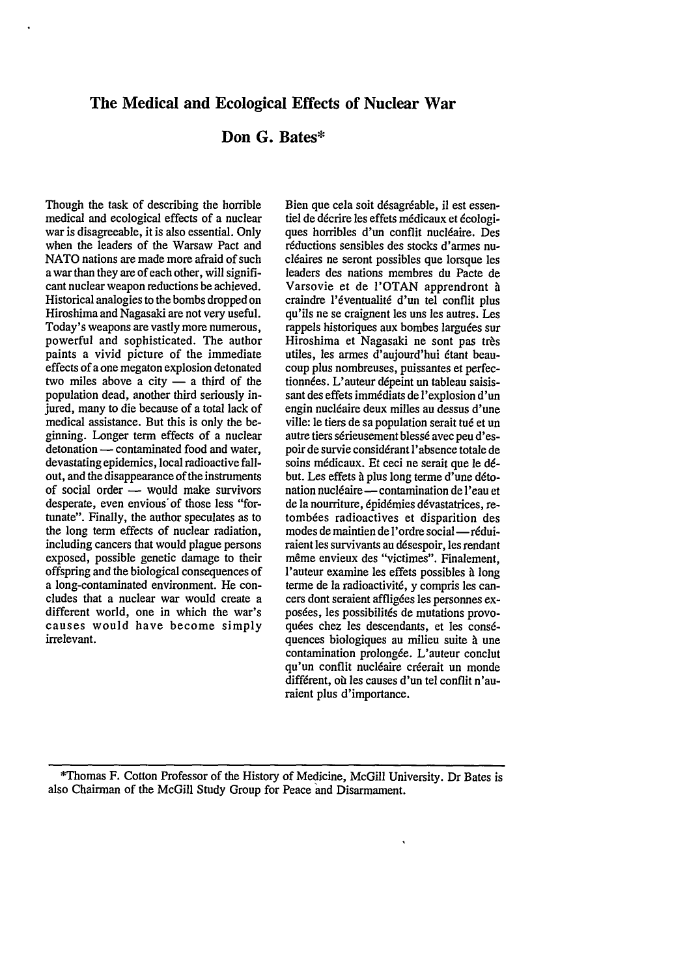## **The Medical and Ecological Effects of Nuclear War**

# **Don G. Bates\***

Though the task of describing the horrible medical and ecological effects of a nuclear war is disagreeable, it is also essential. Only when the leaders of the Warsaw Pact and NATO nations are made more afraid of such a war than they are of each other, will significant nuclear weapon reductions be achieved. Historical analogies to the bombs dropped on Hiroshima and Nagasaki are not very useful. Today's weapons are vastly more numerous, powerful and sophisticated. The author paints a vivid picture of the immediate effects of a one megaton explosion detonated two miles above a city  $-$  a third of the population dead, another third seriously injured, many to die because of a total lack of medical assistance. But this is only the beginning. Longer term effects of a nuclear detonation - contaminated food and water, devastating epidemics, local radioactive fallout, and the disappearance of the instruments of social order - would make survivors desperate, even envious'of those less "fortunate". Finally, the author speculates as to the long term effects of nuclear radiation, including cancers that would plague persons exposed, possible genetic damage to their offspring and the biological consequences of a long-contaminated environment. He concludes that a nuclear war would create a different world, one in which the war's causes would have become simply irrelevant.

Bien que cela soit désagréable, il est essentiel de décrire les effets médicaux et écologiques horribles d'un conflit nucléaire. Des réductions sensibles des stocks d'armes nucléaires ne seront possibles que lorsque les leaders des nations membres du Pacte de Varsovie et de I'OTAN apprendront **A** craindre l'6ventualit6 d'un tel conflit plus qu'ils ne se craignent les uns les autres. Les rappels historiques aux bombes larguées sur Hiroshima et Nagasaki ne sont pas très utiles, les armes d'aujourd'hui 6tant beaucoup plus nombreuses, puissantes et perfectionnées. L'auteur dépeint un tableau saisissant des effets imm6diats de l'explosion d'un engin nucl6aire deux milles au dessus d'une ville: le tiers de sa population serait *tu6* et un autre tiers sérieusement blessé avec peu d'espoir de survie consid6rant l'absence totale de soins m6dicaux. Et ceci ne serait que le **d6** but. Les effets à plus long terme d'une détonation nucléaire — contamination de l'eau et de la nourriture, épidémies dévastatrices, retombées radioactives et disparition des modes de maintien de l'ordre social-réduiraient les survivants au d6sespoir, les rendant même envieux des "victimes". Finalement, l'auteur examine les effets possibles **A** long terme de la radioactivité, y compris les cancers dont seraient affligées les personnes exposées, les possibilités de mutations provoquées chez les descendants, et les conséquences biologiques au milieu suite **4** une contamination prolong6e. L'auteur conclut qu'un conflit nucléaire créerait un monde différent, où les causes d'un tel conflit n'auraient plus d'importance.

\*Thomas F. Cotton Professor of the History of Medicine, McGill University. Dr Bates is also Chairman of the McGill Study Group for Peace and Disarmament.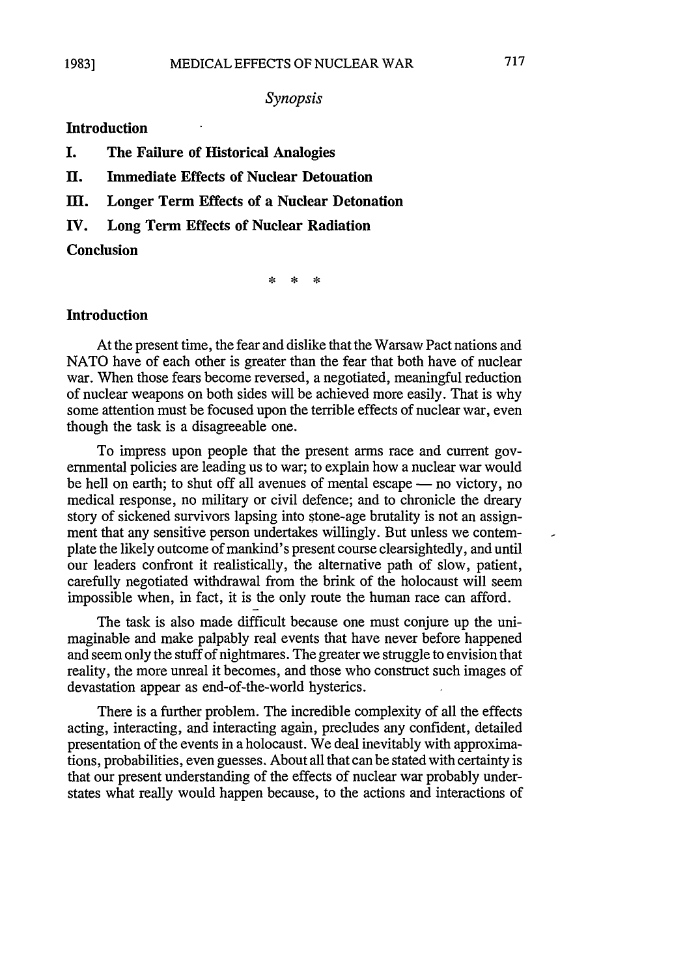## *Synopsis*

## **Introduction**

- **I. The Failure of Historical Analogies**
- **II. Immediate Effects of Nuclear Detonation**
- M. **Longer Term Effects of a Nuclear Detonation**
- **IV. Long Term Effects of Nuclear Radiation**

#### **Conclusion**

 $\mathbf{R}$ sk.

# **Introduction**

At the present time, the fear and dislike that the Warsaw Pact nations and **NATO** have of each other is greater than the fear that both have of nuclear war. When those fears become reversed, a negotiated, meaningful reduction of nuclear weapons on both sides will be achieved more easily. That is why some attention must be focused upon the terrible effects of nuclear war, even though the task is a disagreeable one.

To impress upon people that the present arms race and current governmental policies are leading us to war; to explain how a nuclear war would be hell on earth; to shut off all avenues of mental escape — no victory, no medical response, no military or civil defence; and to chronicle the dreary story of sickened survivors lapsing into stone-age brutality is not an assignment that any sensitive person undertakes willingly. But unless we contemplate the likely outcome of mankind's present course clearsightedly, and until our leaders confront it realistically, the alternative path of slow, patient, carefully negotiated withdrawal from the brink of the holocaust will seem impossible when, in fact, it is the only route the human race can afford.

The task is also made difficult because one must conjure up the unimaginable and make palpably real events that have never before happened and seem only the stuff of nightmares. The greater we struggle to envision that reality, the more unreal it becomes, and those who construct such images of devastation appear as end-of-the-world hysterics.

There is a further problem. The incredible complexity of all the effects acting, interacting, and interacting again, precludes any confident, detailed presentation of the events in a holocaust. We deal inevitably with approximations, probabilities, even guesses. About all that can be stated with certainty is that our present understanding of the effects of nuclear war probably understates what really would happen because, to the actions and interactions of ×,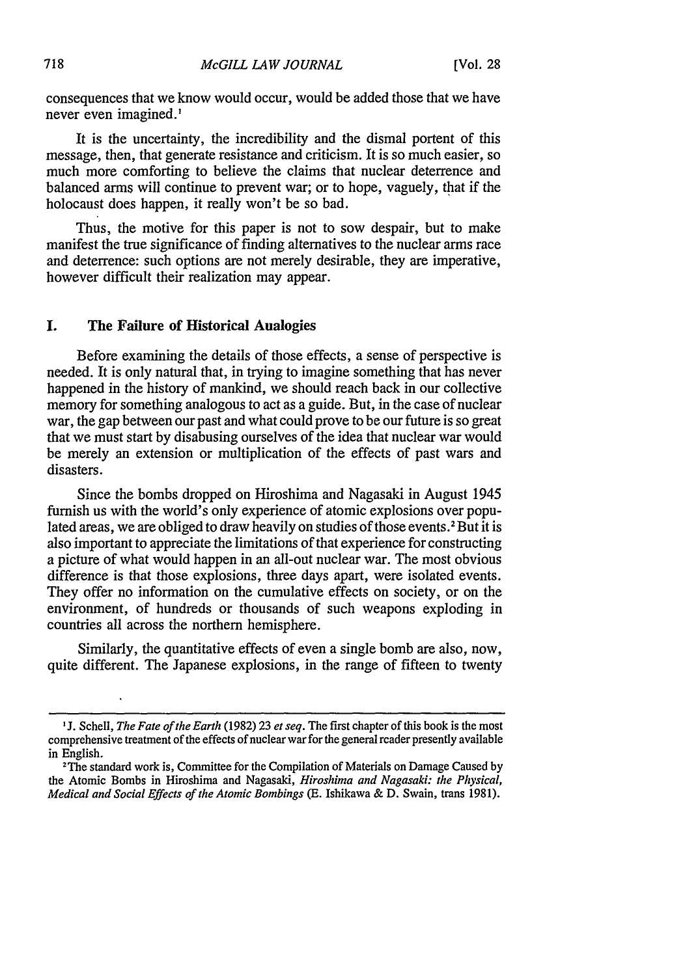consequences that we know would occur, would be added those that we have never even imagined.'

It is the uncertainty, the incredibility and the dismal portent of this message, then, that generate resistance and criticism. It is so much easier, so much more comforting to believe the claims that nuclear deterrence and balanced arms will continue to prevent war; or to hope, vaguely, that if the holocaust does happen, it really won't be so bad.

Thus, the motive for this paper is not to sow despair, but to make manifest the true significance of finding alternatives to the nuclear arms race and deterrence: such options are not merely desirable, they are imperative, however difficult their realization may appear.

### **I. The Failure of Historical Analogies**

Before examining the details of those effects, a sense of perspective is needed. It is only natural that, in trying to imagine something that has never happened in the history of mankind, we should reach back in our collective memory for something analogous to act as a guide. But, in the case of nuclear war, the gap between our past and what could prove to be our future is so great that we must start by disabusing ourselves of the idea that nuclear war would be merely an extension or multiplication of the effects of past wars and disasters.

Since the bombs dropped on Hiroshima and Nagasaki in August 1945 furnish us with the world's only experience of atomic explosions over populated areas, we are obliged to draw heavily on studies of those events.<sup>2</sup> But it is also important to appreciate the limitations of that experience for constructing a picture of what would happen in an all-out nuclear war. The most obvious difference is that those explosions, three days apart, were isolated events. They offer no information on the cumulative effects on society, or on the environment, of hundreds or thousands of such weapons exploding in countries all across the northern hemisphere.

Similarly, the quantitative effects of even a single bomb are also, now, quite different. The Japanese explosions, in the range of fifteen to twenty

J. Schell, *The Fate of the Earth* (1982) 23 *et seq.* The first chapter of this book is the most comprehensive treatment of the effects of nuclear war for the general reader presently available in English.

<sup>&</sup>lt;sup>2</sup>The standard work is, Committee for the Compilation of Materials on Damage Caused by the Atomic Bombs in Hiroshima and Nagasaki, *Hiroshima and Nagasaki: the Physical, Medical and Social Effects of the Atomic Bombings* (E. Ishikawa & D. Swain, trans 1981).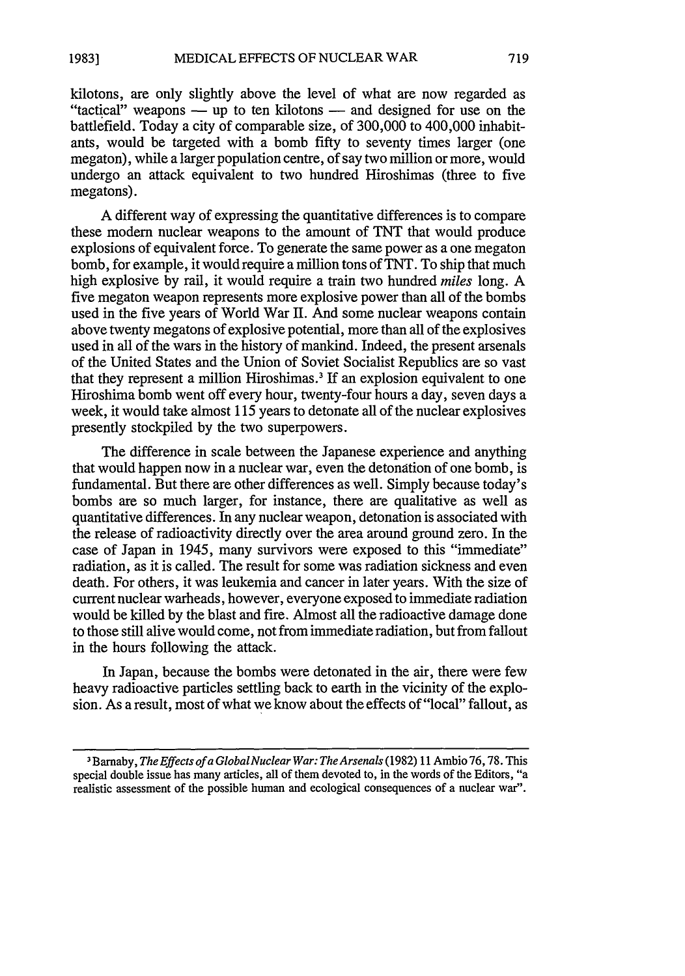kilotons, are only slightly above the level of what are now regarded as "tactical" weapons — up to ten kilotons — and designed for use on the battlefield. Today a city of comparable size, of 300,000 to 400,000 inhabitants, would be targeted with a bomb fifty to seventy times larger (one megaton), while a larger population centre, of say two million or more, would undergo an attack equivalent to two hundred Hiroshimas (three to five megatons).

A different way of expressing the quantitative differences is to compare these modem nuclear weapons to the amount of TNT that would produce explosions of equivalent force. To generate the same power as a one megaton bomb, for example, it would require a million tons of TNT. To ship that much high explosive by rail, it would require a train two hundred *miles* long. A five megaton weapon represents more explosive power than all of the bombs used in the five years of World War II. And some nuclear weapons contain above twenty megatons of explosive potential, more than all of the explosives used in all of the wars in the history of mankind. Indeed, the present arsenals of the United States and the Union of Soviet Socialist Republics are so vast that they represent a million Hiroshimas.<sup>3</sup> If an explosion equivalent to one Hiroshima bomb went off every hour, twenty-four hours a day, seven days a week, it would take almost 115 years to detonate all of the nuclear explosives presently stockpiled by the two superpowers.

The difference in scale between the Japanese experience and anything that would happen now in a nuclear war, even the detonation of one bomb, is fundamental. But there are other differences as well. Simply because today's bombs are so much larger, for instance, there are qualitative as well as quantitative differences. In any nuclear weapon, detonation is associated with the release of radioactivity directly over the area around ground zero. In the case of Japan in 1945, many survivors were exposed to this "immediate" radiation, as it is called. The result for some was radiation sickness and even death. For others, it was leukemia and cancer in later years. With the size of current nuclear warheads, however, everyone exposed to immediate radiation would be killed by the blast and fire. Almost all the radioactive damage done to those still alive would come, not from immediate radiation, but from fallout in the hours following the attack.

In Japan, because the bombs were detonated in the air, there were few heavy radioactive particles settling back to earth in the vicinity of the explosion. As a result, most of what we know about the effects of "local" fallout, as

<sup>3</sup> 1Barnaby, *The Effects ofa GlobalNuclear War: The Arsenals* (1982) 11 Ambio 76,78. This special double issue has many articles, all of them devoted to, in the words of the Editors, "a realistic assessment of the possible human and ecological consequences of a nuclear war".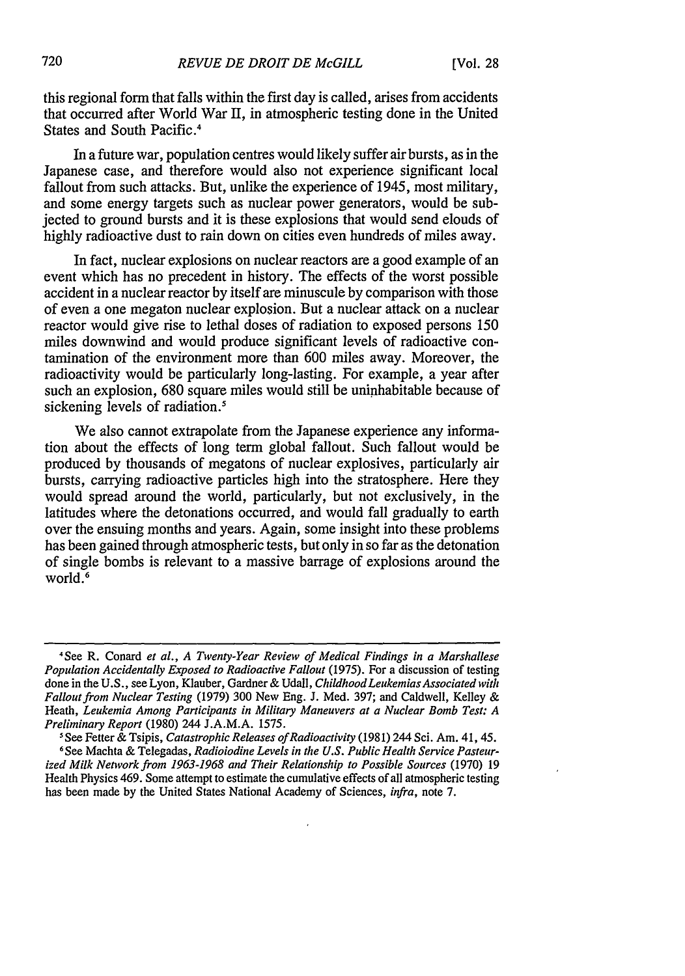this regional form that falls within the first day is called, arises from accidents that occurred after World War II, in atmospheric testing done in the United States and South Pacific.<sup>4</sup>

In a future war, population centres would likely suffer air bursts, as in the Japanese case, and therefore would also not experience significant local fallout from such attacks. But, unlike the experience of 1945, most military, and some energy targets such as nuclear power generators, would be subjected to ground bursts and it is these explosions that would send clouds of highly radioactive dust to rain down on cities even hundreds of miles away.

In fact, nuclear explosions on nuclear reactors are a good example of an event which has no precedent in history. The effects of the worst possible accident in a nuclear reactor by itself are minuscule by comparison with those of even a one megaton nuclear explosion. But a nuclear attack on a nuclear reactor would give rise to lethal doses of radiation to exposed persons 150 miles downwind and would produce significant levels of radioactive contamination of the environment more than 600 miles away. Moreover, the radioactivity would be particularly long-lasting. For example, a year after such an explosion, 680 square miles would still be uninhabitable because of sickening levels of radiation.<sup>5</sup>

We also cannot extrapolate from the Japanese experience any information about the effects of long term global fallout. Such fallout would be produced by thousands of megatons of nuclear explosives, particularly air bursts, carrying radioactive particles high into the stratosphere. Here they would spread around the world, particularly, but not exclusively, in the latitudes where the detonations occurred, and would fall gradually to earth over the ensuing months and years. Again, some insight into these problems has been gained through atmospheric tests, but only in so far as the detonation of single bombs is relevant to a massive barrage of explosions around the world.<sup>6</sup>

<sup>&#</sup>x27;See R. Conard *et al., A Twenty-Year Review of Medical Findings in a Marshallese Population Accidentally Exposed to Radioactive Fallout* (1975). For a discussion of testing done in the U.S., see Lyon, Klauber, Gardner & Udall, *ChildhoodLeukemias Associated with Fallout from Nuclear Testing* (1979) 300 New Eng. J. Med. 397; and Caldwell, Kelley & Heath, *Leukemia Among Participants in Military Maneuvers at a Nuclear Bomb Test: A Preliminary Report* (1980) 244 J.A.M.A. 1575.

*<sup>5</sup>*See Fetter & Tsipis, *Catastrophic Releases ofRadioactivity* (1981) 244 Sci. Am. 41, 45.

**<sup>6</sup>** See Machta & Telegadas, *Radioiodine Levels in the U.S. Public Health Service Pasteurized Milk Network from 1963-1968 and Their Relationship to Possible Sources* (1970) 19 Health Physics 469. Some attempt to estimate the cumulative effects of all atmospheric testing has been made by the United States National Academy of Sciences, *infra,* note 7.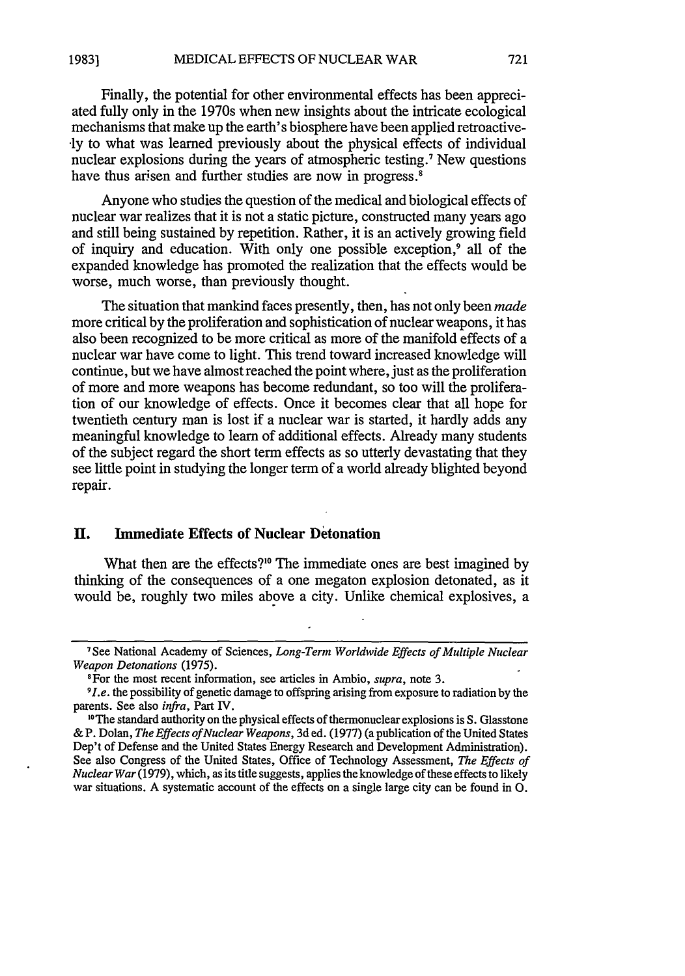Finally, the potential for other environmental effects has been appreciated fully only in the 1970s when new insights about the intricate ecological mechanisms that make up the earth's biosphere have been applied retroactive- •ly to what was learned previously about the physical effects of individual nuclear explosions during the years of atmospheric testing.7 New questions have thus arisen and further studies are now in progress.<sup>8</sup>

Anyone who studies the question of the medical and biological effects of nuclear war realizes that it is not a static picture, constructed many years ago and still being sustained by repetition. Rather, it is an actively growing field of inquiry and education. With only one possible exception,<sup>9</sup> all of the expanded knowledge has promoted the realization that the effects would be worse, much worse, than previously thought.

The situation that mankind faces presently, then, has not only been *made* more critical by the proliferation and sophistication of nuclear weapons, it has also been recognized to be more critical as more of the manifold effects of a nuclear war have come to light. This trend toward increased knowledge will continue, but we have almost reached the point where, just as the proliferation of more and more weapons has become redundant, so too will the proliferation of our knowledge of effects. Once it becomes clear that all hope for twentieth century man is lost if a nuclear war is started, it hardly adds any meaningful knowledge to learn of additional effects. Already many students of the subject regard the short term effects as so utterly devastating that they see little point in studying the longer term of a world already blighted beyond repair.

## **H.** Immediate Effects of Nuclear Detonation

What then are the effects?<sup>10</sup> The immediate ones are best imagined by thinking of the consequences of a one megaton explosion detonated, as it would be, roughly two miles above a city. Unlike chemical explosives, a

<sup>7</sup> See National Academy of Sciences, *Long-Term Worldwide Effects of Multiple Nuclear Weapon Detonations (1975).*

IFor the most recent information, see articles in Ambio, *supra,* note **3.**

*<sup>9</sup>ILe.* the possibility of genetic damage to offspring arising from exposure to radiation **by** the parents. See also *infra,* Part **IV.**

**<sup>&</sup>quot;°The** standard authority on the physical effects of thermonuclear explosions is **S.** Glasstone **&** P. Dolan, *The Effects of Nuclear Weapons,* **3d** ed. **(1977)** (a publication of the United States Dep't of Defense and the United States Energy Research and Development Administration). See also Congress of the United States, Office of Technology Assessment, *The Effects of Nuclear War* **(1979),** which, as its title suggests, applies the knowledge of these effects to likely war situations. **A** systematic account of the effects on a single large city can be found in **0.**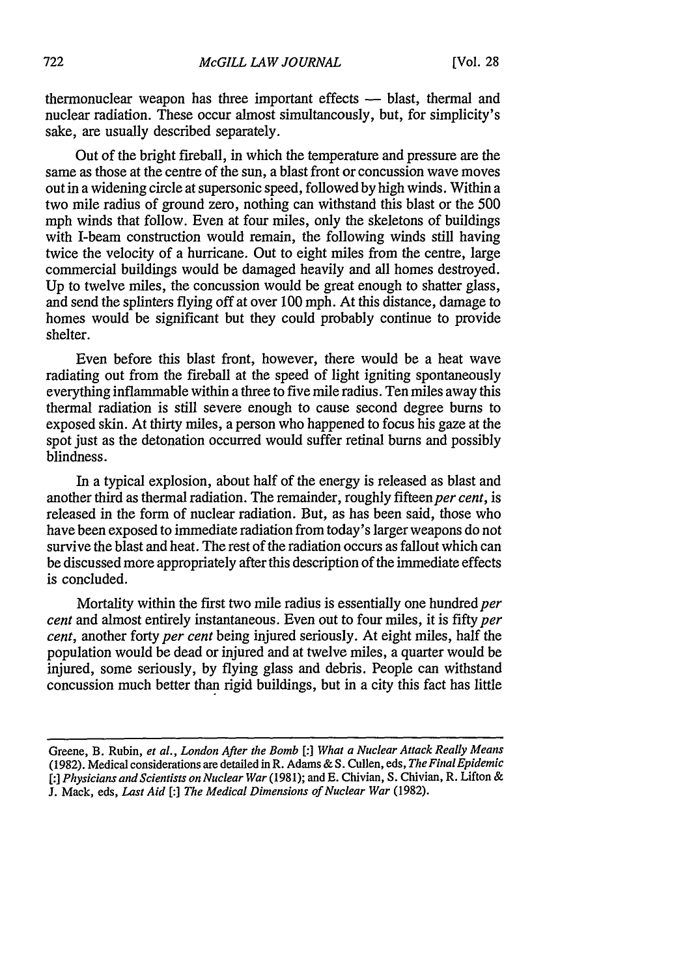thermonuclear weapon has three important effects — blast, thermal and nuclear radiation. These occur almost simultaneously, but, for simplicity's sake, are usually described separately.

Out of the bright fireball, in which the temperature and pressure are the same as those at the centre of the sun, a blast front or concussion wave moves out in a widening circle at supersonic speed, followed by high winds. Within a two mile radius of ground zero, nothing can withstand this blast or the 500 mph winds that follow. Even at four miles, only the skeletons of buildings with I-beam construction would remain, the following winds still having twice the velocity of a hurricane. Out to eight miles from the centre, large commercial buildings would be damaged heavily and all homes destroyed. Up to twelve miles, the concussion would be great enough to shatter glass, and send the splinters flying off at over 100 mph. At this distance, damage to homes would be significant but they could probably continue to provide shelter.

Even before this blast front, however, there would be a heat wave radiating out from the fireball at the speed of light igniting spontaneously everything inflammable within a three to five mile radius. Ten miles away this thermal radiation is still severe enough to cause second degree burns to exposed skin. At thirty miles, a person who happened to focus his gaze at the spot just as the detonation occurred would suffer retinal bums and possibly blindness.

In a typical explosion, about half of the energy is released as blast and another third as thermal radiation. The remainder, roughly fifteen *per cent*, is released in the form of nuclear radiation. But, as has been said, those who have been exposed to immediate radiation from today's larger weapons do not survive the blast and heat. The rest of the radiation occurs as fallout which can be discussed more appropriately after this description of the immediate effects is concluded.

Mortality within the first two mile radius is essentially one hundred *per cent* and almost entirely instantaneous. Even out to four miles, it is fifty *per cent,* another forty *per cent* being injured seriously. At eight miles, half the population would be dead or injured and at twelve miles, a quarter would be injured, some seriously, by flying glass and debris. People can withstand concussion much better than rigid buildings, but in a city this fact has little

Greene, B. Rubin, *et al., London After the Bomb [:] What a Nuclear Attack Really Means* (1982). Medical considerations are detailed in R. Adams & S. Cullen, eds, *The Final Epidemic [:] Physicians and Scientists on Nuclear War* (1981); and E. Chivian, S. Chivian, R. Lifton & J. Mack, eds, *Last Aid [:] The Medical Dimensions of Nuclear War* (1982).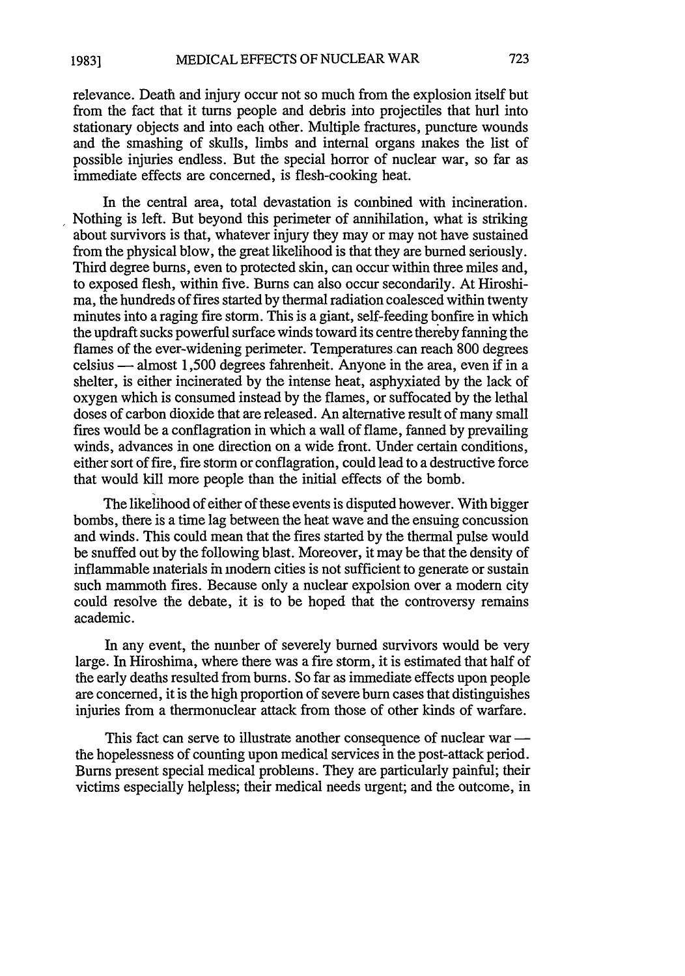relevance. Death and injury occur not so much from the explosion itself but from the fact that it turns people and debris into projectiles that hurl into stationary objects and into each other. Multiple fractures, puncture wounds and the smashing of skulls, limbs and internal organs makes the list of possible injuries endless. But the special horror of nuclear war, so far as immediate effects are concerned, is flesh-cooking heat.

In the central area, total devastation is combined with incineration. Nothing is left. But beyond this perimeter of annihilation, what is striking about survivors is that, whatever injury they may or may not have sustained from the physical blow, the great likelihood is that they are burned seriously. Third degree burns, even to protected skin, can occur within three miles and, to exposed flesh, within five. Burns can also occur secondarily. At Hiroshima, the hundreds of fires started by thermal radiation coalesced within twenty minutes into a raging fire storm. This is a giant, self-feeding bonfire in which the updraft sucks powerful surface winds toward its centre thereby fanning the flames of the ever-widening perimeter. Temperatures can reach 800 degrees celsius - almost 1,500 degrees fahrenheit. Anyone in the area, even if in a shelter, is either incinerated by the intense heat, asphyxiated by the lack of oxygen which is consumed instead by the flames, or suffocated by the lethal doses of carbon dioxide that are released. An alternative result of many small fires would be a conflagration in which a wall of flame, fanned by prevailing winds, advances in one direction on a wide front. Under certain conditions, either sort of fire, fire storm or conflagration, could lead to a destructive force that would kill more people than the initial effects of the bomb.

The likelihood of either of these events is disputed however. With bigger bombs, there is a time lag between the heat wave and the ensuing concussion and winds. This could mean that the fires started by the thermal pulse would be snuffed out by the following blast. Moreover, it may be that the density of inflammable materials in modern cities is not sufficient to generate or sustain such mammoth fires. Because only a nuclear expolsion over a modern city could resolve the debate, it is to be hoped that the controversy remains academic.

In any event, the number of severely burned survivors would be very large. In Hiroshima, where there was a fire storm, it is estimated that half of the early deaths resulted from bums. So far as immediate effects upon people are concerned, it is the high proportion of severe burn cases that distinguishes injuries from a thermonuclear attack from those of other kinds of warfare.

This fact can serve to illustrate another consequence of nuclear war the hopelessness of counting upon medical services in the post-attack period. Burns present special medical problems. They are particularly painful; their victims especially helpless; their medical needs urgent; and the outcome, in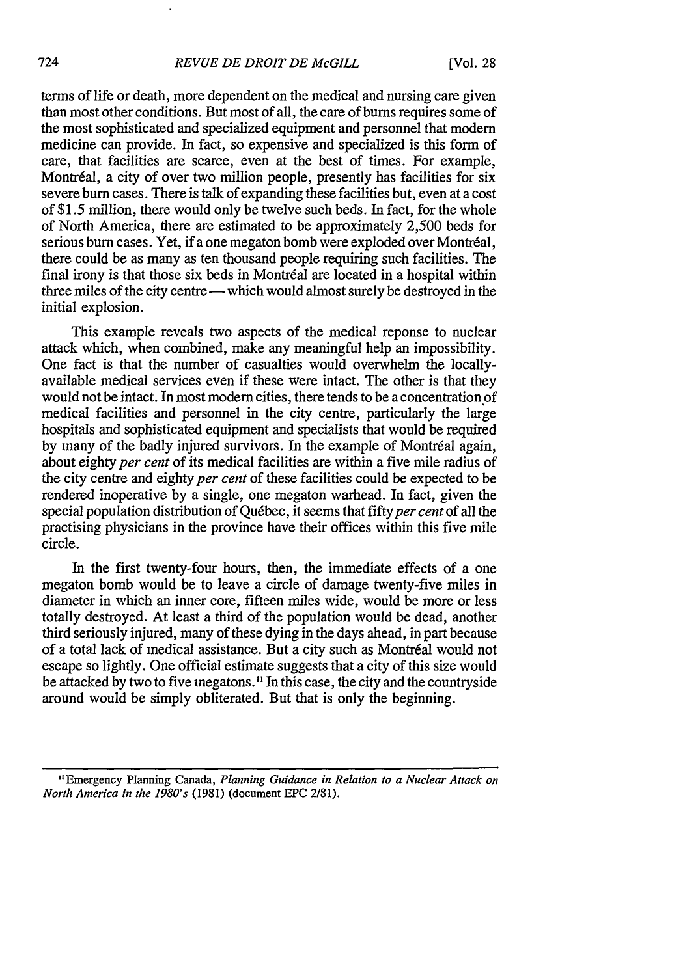terms of life or death, more dependent on the medical and nursing care given than most other conditions. But most of all, the care of bums requires some of the most sophisticated and specialized equipment and personnel that modem medicine can provide. In fact, so expensive and specialized is this form of care, that facilities are scarce, even at the best of times. For example, Montréal, a city of over two million people, presently has facilities for six severe burn cases. There is talk of expanding these facilities but, even at a cost of **\$1.5** million, there would only be twelve such beds. In fact, for the whole of North America, there are estimated to be approximately 2,500 beds for serious burn cases. Yet, if a one megaton bomb were exploded over Montréal, there could be as many as ten thousand people requiring such facilities. The final irony is that those six beds in Montréal are located in a hospital within three miles of the city centre - which would almost surely be destroyed in the initial explosion.

This example reveals two aspects of the medical reponse to nuclear attack which, when combined, make any meaningful help an impossibility. One fact is that the number of casualties would overwhelm the locallyavailable medical services even if these were intact. The other is that they would not be intact. In most modem cities, there tends to be a concentration of medical facilities and personnel in the city centre, particularly the large hospitals and sophisticated equipment and specialists that would be required by many of the badly injured survivors. In the example of Montréal again, about eighty *per cent* of its medical facilities are within a five mile radius of the city centre and eighty *per cent* of these facilities could be expected to be rendered inoperative by a single, one megaton warhead. In fact, given the special population distribution of Québec, it seems that fifty per cent of all the practising physicians in the province have their offices within this five mile circle.

In the first twenty-four hours, then, the immediate effects of a one megaton bomb would be to leave a circle of damage twenty-five miles in diameter in which an inner core, fifteen miles wide, would be more or less totally destroyed. At least a third of the population would be dead, another third seriously injured, many of these dying in the days ahead, in part because of a total lack of medical assistance. But a city such as Montréal would not escape so lightly. One official estimate suggests that a city of this size would be attacked by two to five megatons.1' In this case, the city and the countryside around would be simply obliterated. But that is only the beginning.

**<sup>&</sup>quot;** Emergency Planning Canada, *Planning Guidance in Relation to a Nuclear Attack on North America in the 1980's* **(1981)** (document **EPC 2/81).**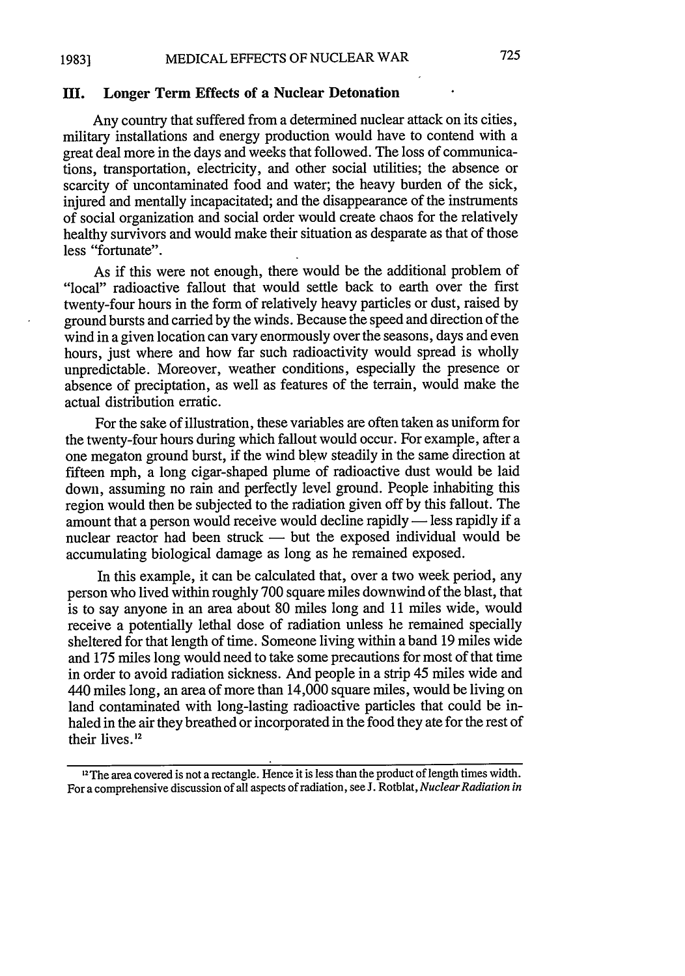#### **HI. Longer Term Effects of a Nuclear Detonation**

Any country that suffered from a determined nuclear attack on its cities, military installations and energy production would have to contend with a great deal more in the days and weeks that followed. The loss of communications, transportation, electricity, and other social utilities; the absence or scarcity of uncontaminated food and water; the heavy burden of the sick, injured and mentally incapacitated; and the disappearance of the instruments of social organization and social order would create chaos for the relatively healthy survivors and would make their situation as desparate as that of those less "fortunate".

As if this were not enough, there would be the additional problem of "local" radioactive fallout that would settle back to earth over the first twenty-four hours in the form of relatively heavy particles or dust, raised by ground bursts and carried by the winds. Because the speed and direction of the wind in a given location can vary enormously over the seasons, days and even hours, just where and how far such radioactivity would spread is wholly unpredictable. Moreover, weather conditions, especially the presence or absence of preciptation, as well as features of the terrain, would make the actual distribution erratic.

For the sake of illustration, these variables are often taken as uniform for the twenty-four hours during which fallout would occur. For example, after a one megaton ground burst, if the wind blew steadily in the same direction at fifteen mph, a long cigar-shaped plume of radioactive dust would be laid down, assuming no rain and perfectly level ground. People inhabiting this region would then be subjected to the radiation given off by this fallout. The amount that a person would receive would decline rapidly  $-$  less rapidly if a nuclear reactor had been struck  $-$  but the exposed individual would be accumulating biological damage as long as he remained exposed.

In this example, it can be calculated that, over a two week period, any person who lived within roughly 700 square miles downwind of the blast, that is to say anyone in an area about 80 miles long and 11 miles wide, would receive a potentially lethal dose of radiation unless he remained specially sheltered for that length of time. Someone living within a band 19 miles wide and 175 miles long would need to take some precautions for most of that time in order to avoid radiation sickness. And people in a strip 45 miles wide and 440 miles long, an area of more than 14,000 square miles, would be living on land contaminated with long-lasting radioactive particles that could be inhaled in the air they breathed or incorporated in the food they ate for the rest of their lives. 12

 $12$ The area covered is not a rectangle. Hence it is less than the product of length times width. For a comprehensive discussion of all aspects of radiation, see J. Rotblat, *Nuclear Radiation in*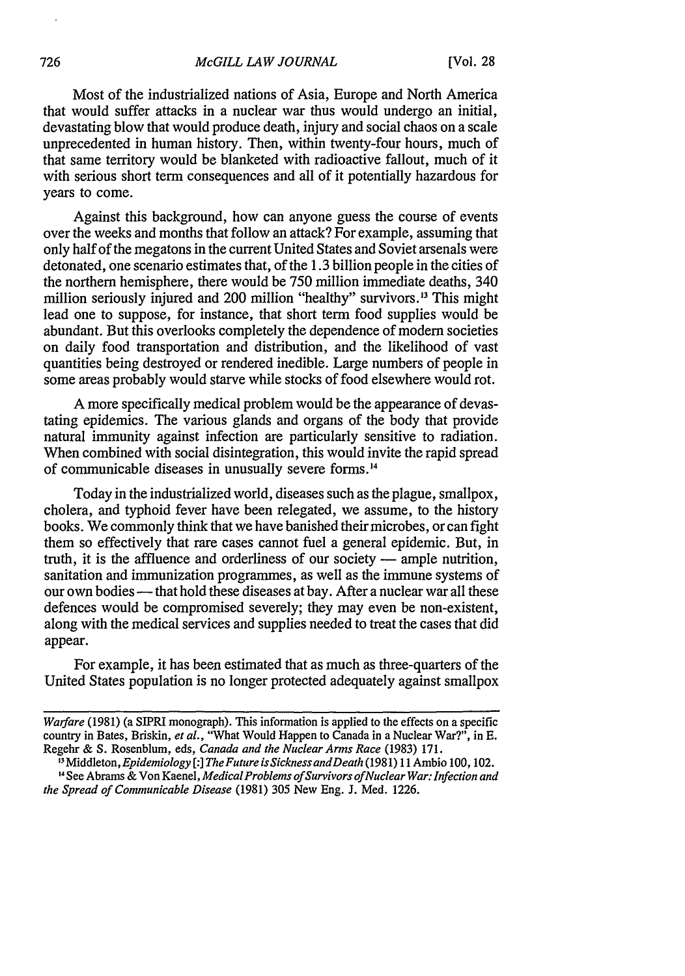Most of the industrialized nations of Asia, Europe and North America that would suffer attacks in a nuclear war thus would undergo an initial, devastating blow that would produce death, injury and social chaos on a scale unprecedented in human history. Then, within twenty-four hours, much of that same territory would be blanketed with radioactive fallout, much of it with serious short term consequences and all of it potentially hazardous for years to come.

Against this background, how can anyone guess the course of events over the weeks and months that follow an attack? For example, assuming that only half of the megatons in the current United States and Soviet arsenals were detonated, one scenario estimates that, of the 1.3 billion people in the cities of the northern hemisphere, there would be 750 million immediate deaths, 340 million seriously injured and 200 million "healthy" survivors.<sup>13</sup> This might lead one to suppose, for instance, that short term food supplies would be abundant. But this overlooks completely the dependence of modem societies on daily food transportation and distribution, and the likelihood of vast quantities being destroyed or rendered inedible. Large numbers of people in some areas probably would starve while stocks of food elsewhere would rot.

A more specifically medical problem would be the appearance of devastating epidemics. The various glands and organs of the body that provide natural immunity against infection are particularly sensitive to radiation. When combined with social disintegration, this would invite the rapid spread of communicable diseases in unusually severe forms. <sup>4</sup>

Today in the industrialized world, diseases such as the plague, smallpox, cholera, and typhoid fever have been relegated, we assume, to the history books. We commonly think that we have banished their microbes, or can fight them so effectively that rare cases cannot fuel a general epidemic. But, in truth, it is the affluence and orderliness of our society **-** ample nutrition, sanitation and immunization programmes, as well as the immune systems of our own bodies **-** that hold these diseases at bay. After a nuclear war all these defences would be compromised severely; they may even be non-existent, along with the medical services and supplies needed to treat the cases that did appear.

For example, it has been estimated that as much as three-quarters of the United States population is no longer protected adequately against smallpox

*Warfare* (1981) (a SIPRI monograph). This information is applied to the effects on a specific country in Bates, Briskin, *et al.,* "What Would Happen to Canada in a Nuclear War?", in E. Regehr & S. Rosenblum, eds, *Canada and the Nuclear Arms Race* (1983) 171.

<sup>&</sup>quot;Middleton, *Epidemiology [:1 The Future isSicknessandDeath* (1981) 11 Ambio 100, 102. **"** See Abrams & Von Kaenel, *Medical Problems of Survivors of Nuclear War: Infection and the Spread of Communicable Disease* (1981) 305 New Eng. J. Med. 1226.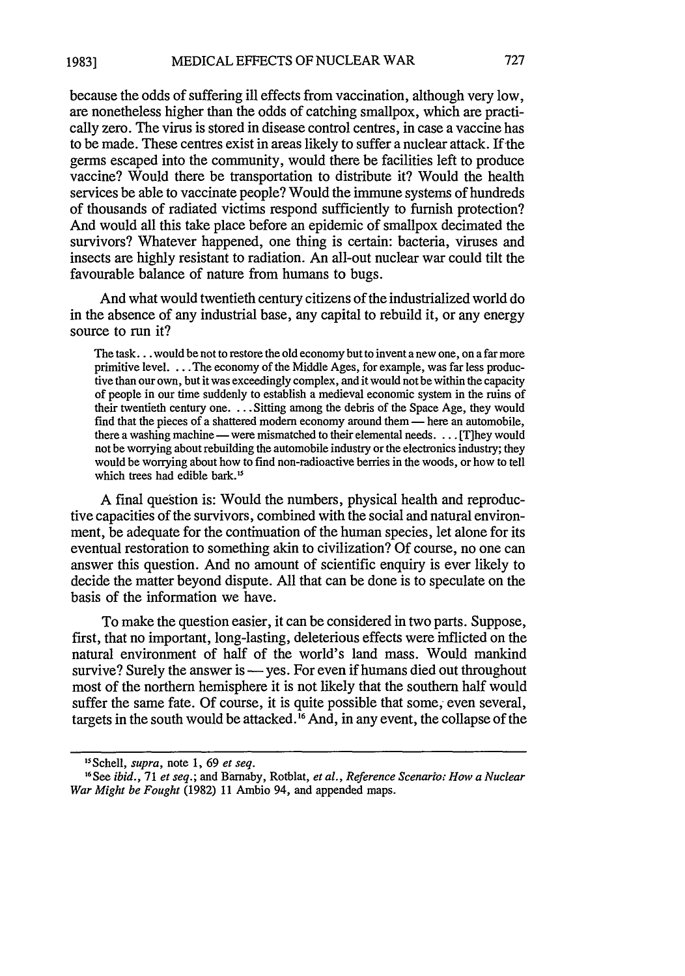because the odds of suffering ill effects from vaccination, although very low, are nonetheless higher than the odds of catching smallpox, which are practically zero. The virus is stored in disease control centres, in case a vaccine has to be made. These centres exist in areas likely to suffer a nuclear attack. If-the germs escaped into the community, would there be facilities left to produce vaccine? Would there be transportation to distribute it? Would the health services be able to vaccinate people? Would the immune systems of hundreds of thousands of radiated victims respond sufficiently to furnish protection? And would all this take place before an epidemic of smallpox decimated the survivors? Whatever happened, one thing is certain: bacteria, viruses and insects are highly resistant to radiation. An all-out nuclear war could tilt the favourable balance of nature from humans to bugs.

And what would twentieth century citizens of the industrialized world do in the absence of any industrial base, any capital to rebuild it, or any energy source to run it?

The task... would be not to restore the old economy but to invent a new one, on a far more primitive level. ... The economy of the Middle Ages, for example, was far less productive than our own, but it was exceedingly complex, and it would not be within the capacity of people in our time suddenly to establish a medieval economic system in the ruins of their twentieth century one. . **.** .Sitting among the debris of the Space Age, they would find that the pieces of a shattered modern economy around them - here an automobile, there a washing machine — were mismatched to their elemental needs. . . . [T]hey would not be worrying about rebuilding the automobile industry or the electronics industry; they would be worrying about how to find non-radioactive berries in the woods, or how to tell which trees had edible bark.<sup>15</sup>

A final question is: Would the numbers, physical health and reproductive capacities of the survivors, combined with the social and natural environment, be adequate for the continuation of the human species, let alone for its eventual restoration to something akin to civilization? Of course, no one can answer this question. And no amount of scientific enquiry is ever likely to decide the matter beyond dispute. All that can be done is to speculate on the basis of the information we have.

To make the question easier, it can be considered in two parts. Suppose, first, that no important, long-lasting, deleterious effects were inflicted on the natural environment of half of the world's land mass. Would mankind survive? Surely the answer is — yes. For even if humans died out throughout most of the northern hemisphere it is not likely that the southern half would suffer the same fate. Of course, it is quite possible that some, even several, targets in the south would be attacked.<sup>16</sup> And, in any event, the collapse of the

*<sup>5</sup>* Schell, *supra,* note 1, 69 *et seq.*

**<sup>1</sup> <sup>6</sup> See** *ibid.,* 71 *et seq.;* and Barnaby, Rotblat, *et al., Reference Scenarios How a Nuclear War Might be Fought* (1982) 11 Ambio 94, and appended maps.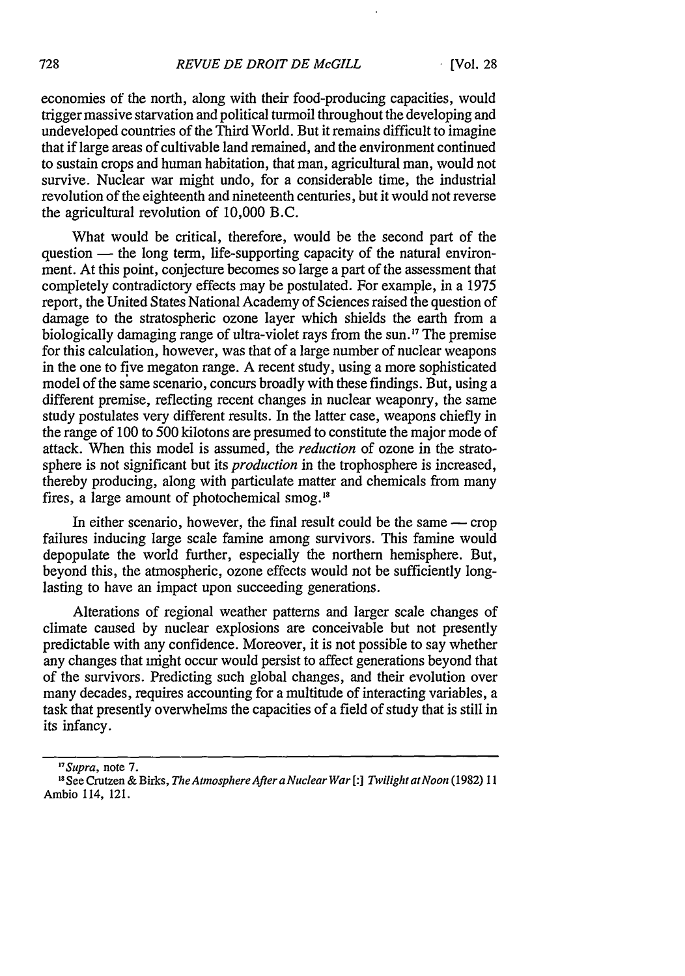economies of the north, along with their food-producing capacities, would trigger massive starvation and political turmoil throughout the developing and undeveloped countries of the Third World. But it remains difficult to imagine that if large areas of cultivable land remained, and the environment continued to sustain crops and human habitation, that man, agricultural man, would not survive. Nuclear war might undo, for a considerable time, the industrial revolution of the eighteenth and nineteenth centuries, but it would not reverse the agricultural revolution of 10,000 B.C.

What would be critical, therefore, would be the second part of the question — the long term, life-supporting capacity of the natural environment. At this point, conjecture becomes so large a part of the assessment that completely contradictory effects may be postulated. For example, in a 1975 report, the United States National Academy of Sciences raised the question of damage to the stratospheric ozone layer which shields the earth from a biologically damaging range of ultra-violet rays from the sun.<sup>17</sup> The premise for this calculation, however, was that of a large number of nuclear weapons in the one to five megaton range. A recent study, using a more sophisticated model of the same scenario, concurs broadly with these findings. But, using a different premise, reflecting recent changes in nuclear weaponry, the same study postulates very different results. In the latter case, weapons chiefly in the range of 100 to 500 kilotons are presumed to constitute the major mode of attack. When this model is assumed, the *reduction* of ozone in the stratosphere is not significant but its *production* in the trophosphere is increased, thereby producing, along with particulate matter and chemicals from many fires, a large amount of photochemical smog."

In either scenario, however, the final result could be the same  $-$  crop failures inducing large scale famine among survivors. This famine would depopulate the world further, especially the northern hemisphere. But, beyond this, the atmospheric, ozone effects would not be sufficiently longlasting to have an impact upon succeeding generations.

Alterations of regional weather patterns and larger scale changes of climate caused by nuclear explosions are conceivable but not presently predictable with any confidence. Moreover, it is not possible to say whether any changes that might occur would persist to affect generations beyond that of the survivors. Predicting such global changes, and their evolution over many decades, requires accounting for a multitude of interacting variables, a task that presently overwhelms the capacities of a field of study that is still in its infancy.

*<sup>&#</sup>x27;"Supra,* note **7.**

I 8 See Crutzen **&** Birks, *The Atmosphere After a Nuclear War [:] Twilight at Noon* (1982) **11** Ambio 114, 121.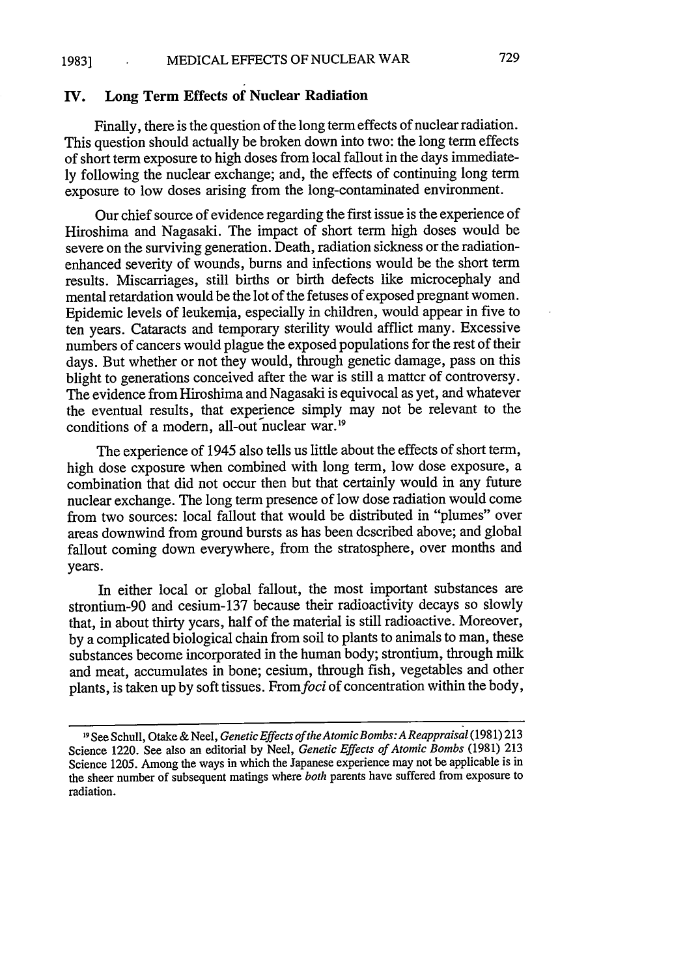## **IV. Long Term Effects of Nuclear Radiation**

Finally, there is the question of the long term effects of nuclear radiation. This question should actually be broken down into two: the long term effects of short term exposure to high doses from local fallout in the days immediate**ly** following the nuclear exchange; and, the effects of continuing long term exposure to low doses arising from the long-contaminated environment.

Our chief source of evidence regarding the first issue is the experience of Hiroshima and Nagasaki. The impact of short term high doses would be severe on the surviving generation. Death, radiation sickness or the radiationenhanced severity of wounds, **burns** and infections would be the short term results. Miscarriages, still births or birth defects like microcephaly and mental retardation would be the lot of the fetuses of exposed pregnant women. Epidemic levels of leukemia, especially in children, would appear in five to ten years. Cataracts and temporary sterility would afflict many. Excessive numbers of cancers would plague the exposed populations for the rest of their days. But whether or not they would, through genetic damage, pass on this blight to generations conceived after the war is still a matter of controversy. The evidence from Hiroshima and Nagasaki is equivocal as yet, and whatever the eventual results, that experience simply may not be relevant to the conditions of a modern, all-out nuclear war.<sup>19</sup>

The experience of 1945 also tells us little about the effects of short term, high dose exposure when combined with long term, low dose exposure, a combination that did not occur then but that certainly would in any future nuclear exchange. The long term presence of low dose radiation would come from two sources: local fallout that would be distributed in "plumes" over areas downwind from ground bursts as has been described above; and global fallout coming down everywhere, from the stratosphere, over months and years.

In either local or global fallout, the most important substances are strontium-90 and cesium-137 because their radioactivity decays so slowly that, in about thirty years, half of the material is still radioactive. Moreover, by a complicated biological chain from soil to plants to animals to man, these substances become incorporated in the human body; strontium, through milk and meat, accumulates in bone; cesium, through fish, vegetables and other plants, is taken up by soft tissues. From foci of concentration within the body,

**<sup>19</sup>** See Schull, Otake & Neel, *Genetic Effects of the AtomicBombs: A Reappraisal* (1981) 213 Science 1220. See also an editorial by Neel, *Genetic Effects of Atomic Bombs* (1981) 213 Science 1205. Among the ways in which the Japanese experience may not be applicable is in the sheer number of subsequent matings where *both* parents have suffered from exposure to radiation.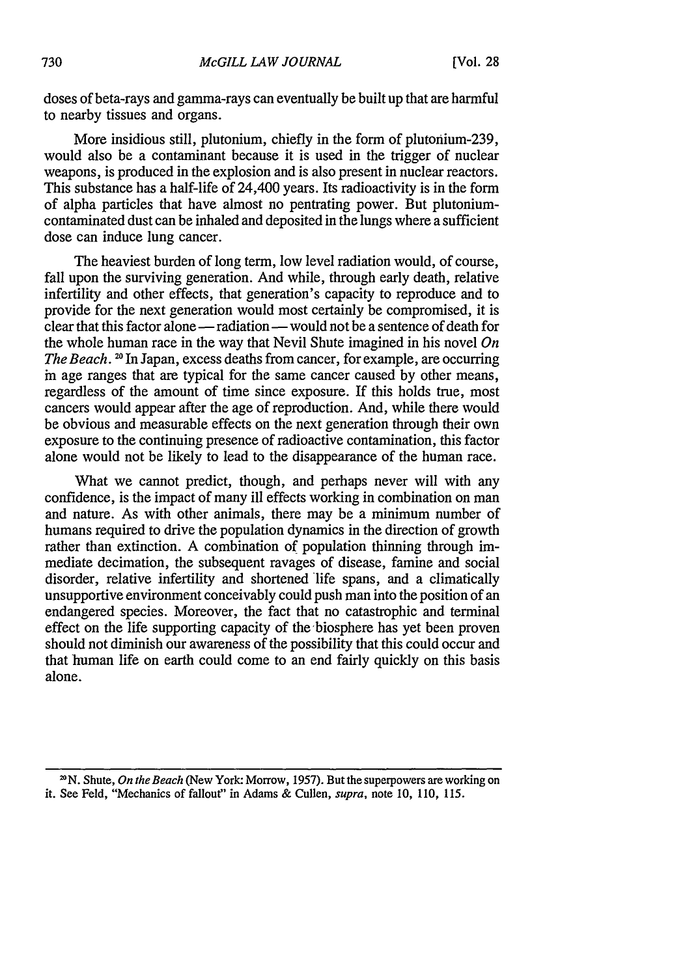doses of beta-rays and gamma-rays can eventually be built up that are harmful to nearby tissues and organs.

More insidious still, plutonium, chiefly in the form of plutonium-239, would also be a contaminant because it is used in the trigger of nuclear weapons, is produced in the explosion and is also present in nuclear reactors. This substance has a half-life of 24,400 years. Its radioactivity is in the form of alpha particles that have almost no pentrating power. But plutoniumcontaminated dust can be inhaled and deposited in the lungs where a sufficient dose can induce lung cancer.

The heaviest burden of long term, low level radiation would, of course, fall upon the surviving generation. And while, through early death, relative infertility and other effects, that generation's capacity to reproduce and to provide for the next generation would most certainly be compromised, it is clear that this factor alone - radiation - would not be a sentence of death for the whole human race in the way that Nevil Shute imagined in his novel *On The Beach.* <sup>20</sup> In Japan, excess deaths from cancer, for example, are occurring in age ranges that are typical for the same cancer caused by other means, regardless of the amount of time since exposure. If this holds true, most cancers would appear after the age of reproduction. And, while there would be obvious and measurable effects on the next generation through their own exposure to the continuing presence of radioactive contamination, this factor alone would not be likely to lead to the disappearance of the human race.

What we cannot predict, though, and perhaps never will with any confidence, is the impact of many ill effects working in combination on man and nature. As with other animals, there may be a minimum number of humans required to drive the population dynamics in the direction of growth rather than extinction. A combination of population thinning through immediate decimation, the subsequent ravages of disease, famine and social disorder, relative infertility and shortened life spans, and a climatically unsupportive environment conceivably could push man into the position of an endangered species. Moreover, the fact that no catastrophic and terminal effect on the life supporting capacity of the biosphere has yet been proven should not diminish our awareness of the possibility that this could occur and that human life on earth could come to an end fairly quickly on this basis alone.

**<sup>&</sup>quot;N.** Shute, *On the Beach* (New York: Morrow, 1957). But the superpowers are working on it. See Feld, "Mechanics of fallout" in Adams & Cullen, *supra,* note 10, 110, 115.